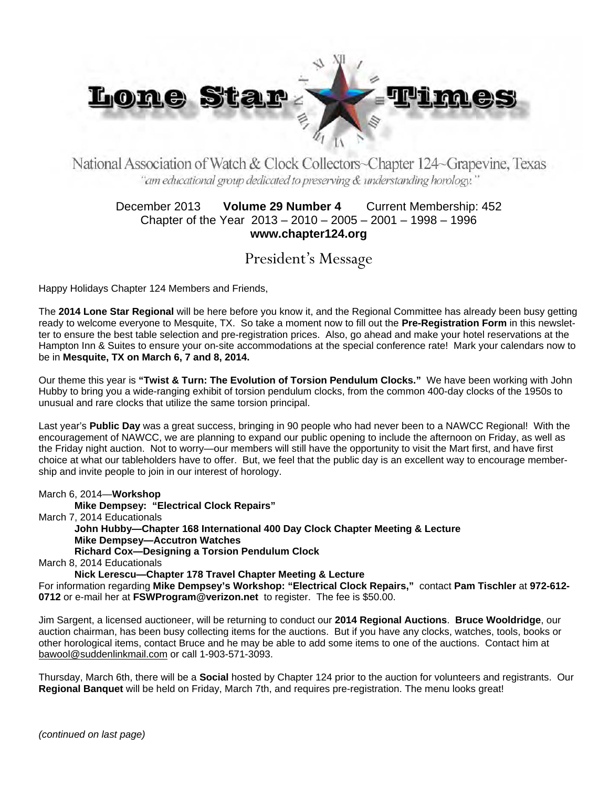

National Association of Watch & Clock Collectors~Chapter 124~Grapevine, Texas "am educational group dedicated to preserving & understanding horology."

### December 2013 **Volume 29 Number 4** Current Membership: 452 Chapter of the Year 2013 – 2010 – 2005 – 2001 – 1998 – 1996 **www.chapter124.org**

President's Message

Happy Holidays Chapter 124 Members and Friends,

The **2014 Lone Star Regional** will be here before you know it, and the Regional Committee has already been busy getting ready to welcome everyone to Mesquite, TX. So take a moment now to fill out the **Pre-Registration Form** in this newsletter to ensure the best table selection and pre-registration prices. Also, go ahead and make your hotel reservations at the Hampton Inn & Suites to ensure your on-site accommodations at the special conference rate! Mark your calendars now to be in **Mesquite, TX on March 6, 7 and 8, 2014.** 

Our theme this year is **"Twist & Turn: The Evolution of Torsion Pendulum Clocks."** We have been working with John Hubby to bring you a wide-ranging exhibit of torsion pendulum clocks, from the common 400-day clocks of the 1950s to unusual and rare clocks that utilize the same torsion principal.

Last year's **Public Day** was a great success, bringing in 90 people who had never been to a NAWCC Regional! With the encouragement of NAWCC, we are planning to expand our public opening to include the afternoon on Friday, as well as the Friday night auction. Not to worry—our members will still have the opportunity to visit the Mart first, and have first choice at what our tableholders have to offer. But, we feel that the public day is an excellent way to encourage membership and invite people to join in our interest of horology.

March 6, 2014—**Workshop**

**Mike Dempsey: "Electrical Clock Repairs"** 

March 7, 2014 Educationals

**John Hubby—Chapter 168 International 400 Day Clock Chapter Meeting & Lecture Mike Dempsey—Accutron Watches Richard Cox—Designing a Torsion Pendulum Clock** 

March 8, 2014 Educationals

**Nick Lerescu—Chapter 178 Travel Chapter Meeting & Lecture** 

For information regarding **Mike Dempsey's Workshop: "Electrical Clock Repairs,"** contact **Pam Tischler** at **972-612- 0712** or e-mail her at **FSWProgram@verizon.net** to register. The fee is \$50.00.

Jim Sargent, a licensed auctioneer, will be returning to conduct our **2014 Regional Auctions**. **Bruce Wooldridge**, our auction chairman, has been busy collecting items for the auctions. But if you have any clocks, watches, tools, books or other horological items, contact Bruce and he may be able to add some items to one of the auctions. Contact him at bawool@suddenlinkmail.com or call 1-903-571-3093.

Thursday, March 6th, there will be a **Social** hosted by Chapter 124 prior to the auction for volunteers and registrants. Our **Regional Banquet** will be held on Friday, March 7th, and requires pre-registration. The menu looks great!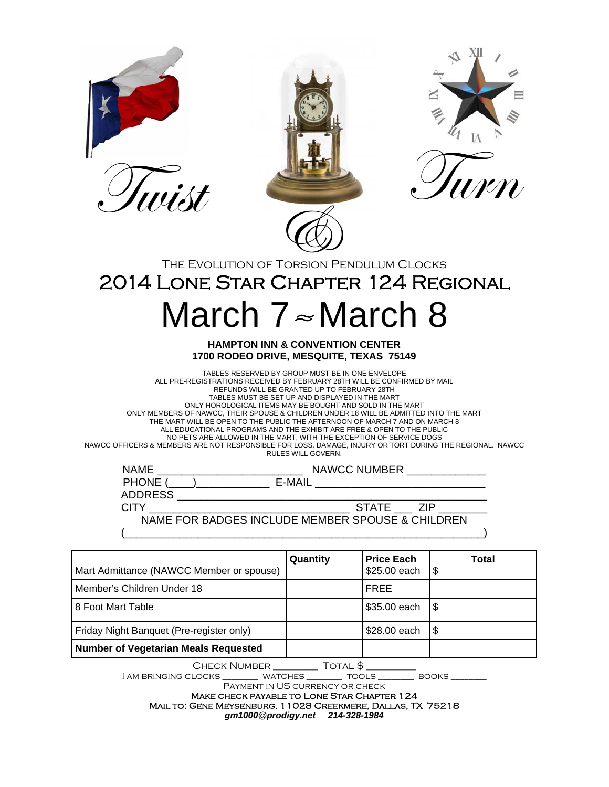





2014 Lone Star Chapter 124 Regional

# March  $7 \approx$  March 8

#### **HAMPTON INN & CONVENTION CENTER 1700 RODEO DRIVE, MESQUITE, TEXAS 75149**

TABLES RESERVED BY GROUP MUST BE IN ONE ENVELOPE ALL PRE-REGISTRATIONS RECEIVED BY FEBRUARY 28TH WILL BE CONFIRMED BY MAIL REFUNDS WILL BE GRANTED UP TO FEBRUARY 28TH TABLES MUST BE SET UP AND DISPLAYED IN THE MART ONLY HOROLOGICAL ITEMS MAY BE BOUGHT AND SOLD IN THE MART ONLY MEMBERS OF NAWCC, THEIR SPOUSE & CHILDREN UNDER 18 WILL BE ADMITTED INTO THE MART THE MART WILL BE OPEN TO THE PUBLIC THE AFTERNOON OF MARCH 7 AND ON MARCH 8 ALL EDUCATIONAL PROGRAMS AND THE EXHIBIT ARE FREE & OPEN TO THE PUBLIC NO PETS ARE ALLOWED IN THE MART, WITH THE EXCEPTION OF SERVICE DOGS NAWCC OFFICERS & MEMBERS ARE NOT RESPONSIBLE FOR LOSS. DAMAGE, INJURY OR TORT DURING THE REGIONAL. NAWCC RULES WILL GOVERN.

| <b>NAME</b>    | NAWCC NUMBER                                     |
|----------------|--------------------------------------------------|
| PHONE (        | F-MAII                                           |
| <b>ADDRESS</b> |                                                  |
| CITY           | STATE ZIP                                        |
|                | NAME FOR BADGES INCLUDE MEMBER SPOUSE & CHILDREN |
|                |                                                  |

| Mart Admittance (NAWCC Member or spouse) | Quantity | <b>Price Each</b><br>\$25.00 each | Total<br>ا \$ |
|------------------------------------------|----------|-----------------------------------|---------------|
| l Member's Children Under 18             |          | <b>FREE</b>                       |               |
| <b>8 Foot Mart Table</b>                 |          | $$35.00$ each $$$                 |               |
| Friday Night Banquet (Pre-register only) |          | \$28.00 each                      | l \$          |
| Number of Vegetarian Meals Requested     |          |                                   |               |

Check Number \_\_\_\_\_\_\_\_\_ Total \$ \_\_\_\_\_\_\_\_\_\_

| AM BRINGING CLOCKS \_\_\_\_\_\_\_\_\_ WATCHES \_\_\_\_\_\_\_\_\_ TOOLS \_\_\_\_\_\_\_\_\_ BOOKS \_\_\_\_\_\_\_\_\_

Payment in US currency or check Make check payable to Lone Star Chapter 124 Mail to: Gene Meysenburg, 11028 Creekmere, Dallas, TX 75218 *gm1000@prodigy.net 214-328-1984*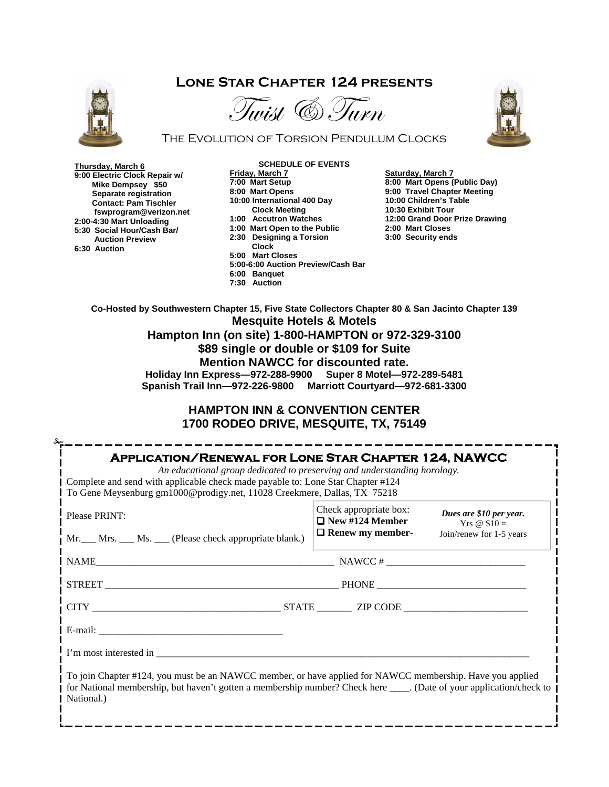## **Lone Star Chapter 124 presents**



# Tinist & Turn



The Evolution of Torsion Pendulum Clocks

**Thursday, March 6 9:00 Electric Clock Repair w/ Mike Dempsey \$50 Separate registration Contact: Pam Tischler fswprogram@verizon.net 2:00-4:30 Mart Unloading 5:30 Social Hour/Cash Bar/ Auction Preview 6:30 Auction** 

**SCHEDULE OF EVENTS Friday, March 7 7:00 Mart Setup 8:00 Mart Opens 10:00 International 400 Day Clock Meeting 1:00 Accutron Watches 1:00 Mart Open to the Public 2:30 Designing a Torsion Clock 5:00 Mart Closes 5:00-6:00 Auction Preview/Cash Bar 6:00 Banquet** 

**7:30 Auction** 

**Saturday, March 7 8:00 Mart Opens (Public Day) 9:00 Travel Chapter Meeting 10:00 Children's Table 10:30 Exhibit Tour 12:00 Grand Door Prize Drawing 2:00 Mart Closes 3:00 Security ends** 

**Co-Hosted by Southwestern Chapter 15, Five State Collectors Chapter 80 & San Jacinto Chapter 139 Mesquite Hotels & Motels** 

**Hampton Inn (on site) 1-800-HAMPTON or 972-329-3100 \$89 single or double or \$109 for Suite Mention NAWCC for discounted rate.** 

**Holiday Inn Express—972-288-9900 Super 8 Motel—972-289-5481 Spanish Trail Inn—972-226-9800 Marriott Courtyard—972-681-3300** 

### **HAMPTON INN & CONVENTION CENTER 1700 RODEO DRIVE, MESQUITE, TX, 75149**

| Complete and send with applicable check made payable to: Lone Star Chapter #124<br>To Gene Meysenburg gm1000@prodigy.net, 11028 Creekmere, Dallas, TX 75218 |                                                                             |                                                                      |
|-------------------------------------------------------------------------------------------------------------------------------------------------------------|-----------------------------------------------------------------------------|----------------------------------------------------------------------|
| Please PRINT:<br>Mr. Mrs. Ms. Chease check appropriate blank.)                                                                                              | Check appropriate box:<br>$\Box$ New #124 Member<br>$\Box$ Renew my member- | Dues are \$10 per year.<br>Yrs @ $$10 =$<br>Join/renew for 1-5 years |
| <b>NAME</b><br>$NAWCC \#$                                                                                                                                   |                                                                             |                                                                      |
| STREET PHONE PHONE                                                                                                                                          |                                                                             |                                                                      |
|                                                                                                                                                             |                                                                             |                                                                      |
|                                                                                                                                                             |                                                                             |                                                                      |
|                                                                                                                                                             |                                                                             |                                                                      |